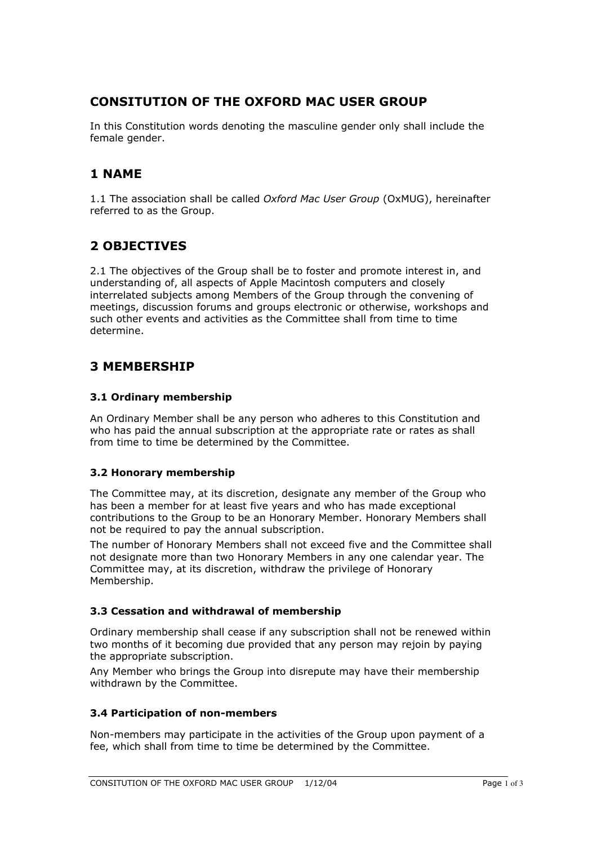# **CONSITUTION OF THE OXFORD MAC USER GROUP**

In this Constitution words denoting the masculine gender only shall include the female gender.

# **1 NAME**

1.1 The association shall be called *Oxford Mac User Group* (OxMUG), hereinafter referred to as the Group.

# **2 OBJECTIVES**

2.1 The objectives of the Group shall be to foster and promote interest in, and understanding of, all aspects of Apple Macintosh computers and closely interrelated subjects among Members of the Group through the convening of meetings, discussion forums and groups electronic or otherwise, workshops and such other events and activities as the Committee shall from time to time determine.

## **3 MEMBERSHIP**

### **3.1 Ordinary membership**

An Ordinary Member shall be any person who adheres to this Constitution and who has paid the annual subscription at the appropriate rate or rates as shall from time to time be determined by the Committee.

### **3.2 Honorary membership**

The Committee may, at its discretion, designate any member of the Group who has been a member for at least five years and who has made exceptional contributions to the Group to be an Honorary Member. Honorary Members shall not be required to pay the annual subscription.

The number of Honorary Members shall not exceed five and the Committee shall not designate more than two Honorary Members in any one calendar year. The Committee may, at its discretion, withdraw the privilege of Honorary Membership.

#### **3.3 Cessation and withdrawal of membership**

Ordinary membership shall cease if any subscription shall not be renewed within two months of it becoming due provided that any person may rejoin by paying the appropriate subscription.

Any Member who brings the Group into disrepute may have their membership withdrawn by the Committee.

#### **3.4 Participation of non-members**

Non-members may participate in the activities of the Group upon payment of a fee, which shall from time to time be determined by the Committee.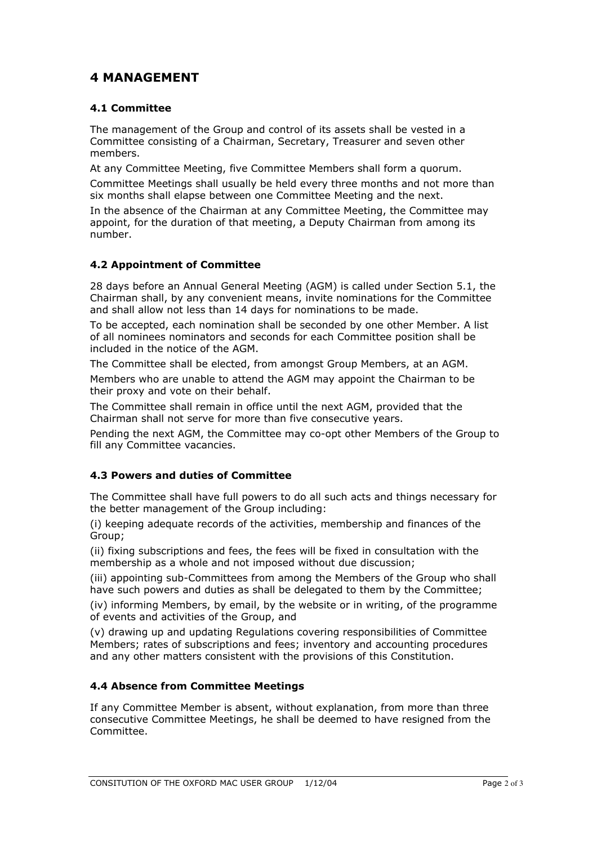# **4 MANAGEMENT**

### **4.1 Committee**

The management of the Group and control of its assets shall be vested in a Committee consisting of a Chairman, Secretary, Treasurer and seven other members.

At any Committee Meeting, five Committee Members shall form a quorum.

Committee Meetings shall usually be held every three months and not more than six months shall elapse between one Committee Meeting and the next.

In the absence of the Chairman at any Committee Meeting, the Committee may appoint, for the duration of that meeting, a Deputy Chairman from among its number.

#### **4.2 Appointment of Committee**

28 days before an Annual General Meeting (AGM) is called under Section 5.1, the Chairman shall, by any convenient means, invite nominations for the Committee and shall allow not less than 14 days for nominations to be made.

To be accepted, each nomination shall be seconded by one other Member. A list of all nominees nominators and seconds for each Committee position shall be included in the notice of the AGM.

The Committee shall be elected, from amongst Group Members, at an AGM.

Members who are unable to attend the AGM may appoint the Chairman to be their proxy and vote on their behalf.

The Committee shall remain in office until the next AGM, provided that the Chairman shall not serve for more than five consecutive years.

Pending the next AGM, the Committee may co-opt other Members of the Group to fill any Committee vacancies.

#### **4.3 Powers and duties of Committee**

The Committee shall have full powers to do all such acts and things necessary for the better management of the Group including:

(i) keeping adequate records of the activities, membership and finances of the Group;

(ii) fixing subscriptions and fees, the fees will be fixed in consultation with the membership as a whole and not imposed without due discussion;

(iii) appointing sub-Committees from among the Members of the Group who shall have such powers and duties as shall be delegated to them by the Committee;

(iv) informing Members, by email, by the website or in writing, of the programme of events and activities of the Group, and

(v) drawing up and updating Regulations covering responsibilities of Committee Members; rates of subscriptions and fees; inventory and accounting procedures and any other matters consistent with the provisions of this Constitution.

#### **4.4 Absence from Committee Meetings**

If any Committee Member is absent, without explanation, from more than three consecutive Committee Meetings, he shall be deemed to have resigned from the Committee.